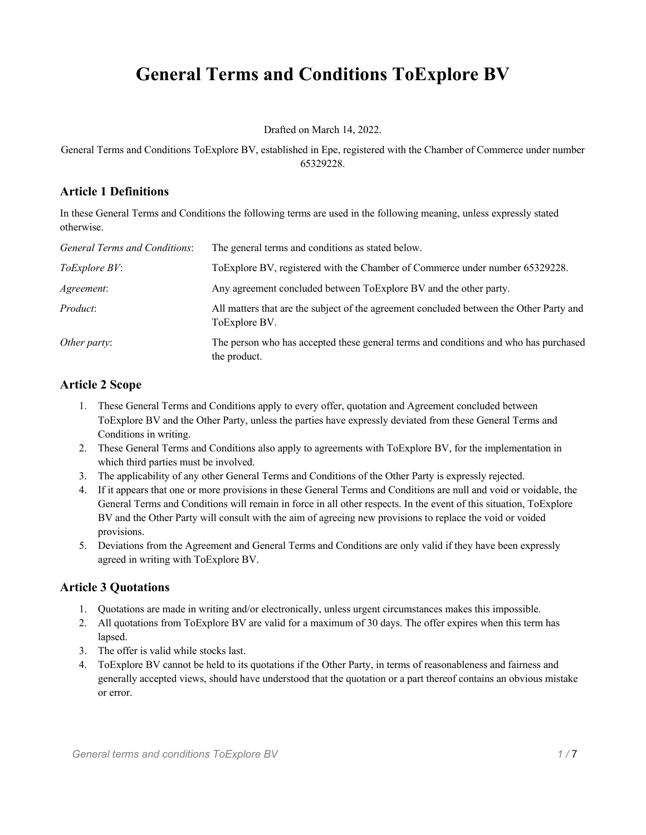# **General Terms and Conditions ToExplore BV**

Drafted on March 14, 2022.

General Terms and Conditions ToExplore BV, established in Epe, registered with the Chamber of Commerce under number 65329228.

## **Article 1 Definitions**

In these General Terms and Conditions the following terms are used in the following meaning, unless expressly stated otherwise.

| General Terms and Conditions: | The general terms and conditions as stated below.                                                        |
|-------------------------------|----------------------------------------------------------------------------------------------------------|
| ToExplore BV:                 | To Explore BV, registered with the Chamber of Commerce under number 65329228.                            |
| Agreement:                    | Any agreement concluded between ToExplore BV and the other party.                                        |
| <i>Product:</i>               | All matters that are the subject of the agreement concluded between the Other Party and<br>ToExplore BV. |
| Other party:                  | The person who has accepted these general terms and conditions and who has purchased<br>the product.     |

## **Article 2 Scope**

- 1. These General Terms and Conditions apply to every offer, quotation and Agreement concluded between ToExplore BV and the Other Party, unless the parties have expressly deviated from these General Terms and Conditions in writing.
- 2. These General Terms and Conditions also apply to agreements with ToExplore BV, for the implementation in which third parties must be involved.
- 3. The applicability of any other General Terms and Conditions of the Other Party is expressly rejected.
- 4. If it appears that one or more provisions in these General Terms and Conditions are null and void or voidable, the General Terms and Conditions will remain in force in all other respects. In the event of this situation, ToExplore BV and the Other Party will consult with the aim of agreeing new provisions to replace the void or voided provisions.
- 5. Deviations from the Agreement and General Terms and Conditions are only valid if they have been expressly agreed in writing with ToExplore BV.

#### **Article 3 Quotations**

- 1. Quotations are made in writing and/or electronically, unless urgent circumstances makes this impossible.
- 2. All quotations from ToExplore BV are valid for a maximum of 30 days. The offer expires when this term has lapsed.
- 3. The offer is valid while stocks last.
- 4. ToExplore BV cannot be held to its quotations if the Other Party, in terms of reasonableness and fairness and generally accepted views, should have understood that the quotation or a part thereof contains an obvious mistake or error.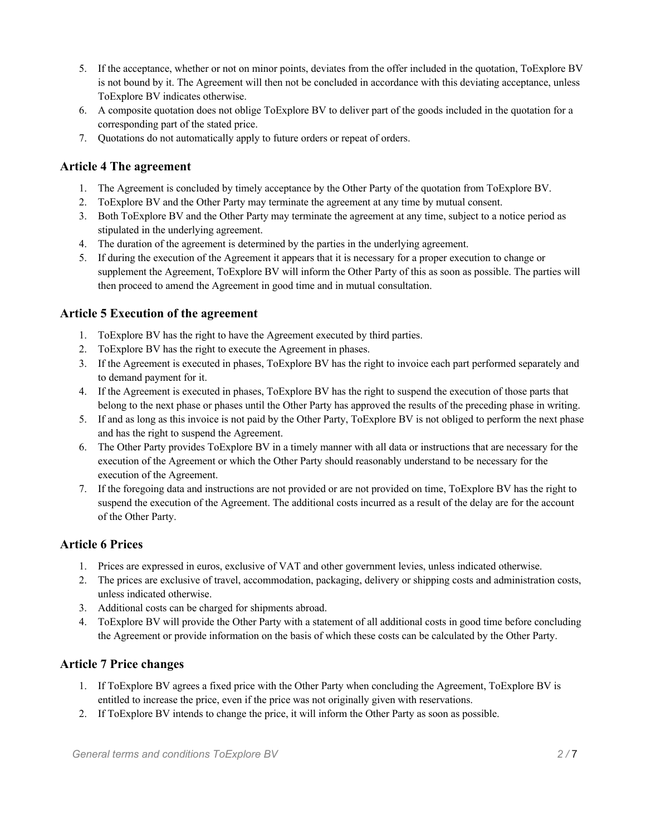- 5. If the acceptance, whether or not on minor points, deviates from the offer included in the quotation, ToExplore BV is not bound by it. The Agreement will then not be concluded in accordance with this deviating acceptance, unless ToExplore BV indicates otherwise.
- 6. A composite quotation does not oblige ToExplore BV to deliver part of the goods included in the quotation for a corresponding part of the stated price.
- 7. Quotations do not automatically apply to future orders or repeat of orders.

## **Article 4 The agreement**

- 1. The Agreement is concluded by timely acceptance by the Other Party of the quotation from ToExplore BV.
- 2. ToExplore BV and the Other Party may terminate the agreement at any time by mutual consent.
- 3. Both ToExplore BV and the Other Party may terminate the agreement at any time, subject to a notice period as stipulated in the underlying agreement.
- 4. The duration of the agreement is determined by the parties in the underlying agreement.
- 5. If during the execution of the Agreement it appears that it is necessary for a proper execution to change or supplement the Agreement, ToExplore BV will inform the Other Party of this as soon as possible. The parties will then proceed to amend the Agreement in good time and in mutual consultation.

# **Article 5 Execution of the agreement**

- 1. ToExplore BV has the right to have the Agreement executed by third parties.
- 2. ToExplore BV has the right to execute the Agreement in phases.
- 3. If the Agreement is executed in phases, ToExplore BV has the right to invoice each part performed separately and to demand payment for it.
- 4. If the Agreement is executed in phases, ToExplore BV has the right to suspend the execution of those parts that belong to the next phase or phases until the Other Party has approved the results of the preceding phase in writing.
- 5. If and as long as this invoice is not paid by the Other Party, ToExplore BV is not obliged to perform the next phase and has the right to suspend the Agreement.
- 6. The Other Party provides ToExplore BV in a timely manner with all data or instructions that are necessary for the execution of the Agreement or which the Other Party should reasonably understand to be necessary for the execution of the Agreement.
- 7. If the foregoing data and instructions are not provided or are not provided on time, ToExplore BV has the right to suspend the execution of the Agreement. The additional costs incurred as a result of the delay are for the account of the Other Party.

# **Article 6 Prices**

- 1. Prices are expressed in euros, exclusive of VAT and other government levies, unless indicated otherwise.
- 2. The prices are exclusive of travel, accommodation, packaging, delivery or shipping costs and administration costs, unless indicated otherwise.
- 3. Additional costs can be charged for shipments abroad.
- 4. ToExplore BV will provide the Other Party with a statement of all additional costs in good time before concluding the Agreement or provide information on the basis of which these costs can be calculated by the Other Party.

# **Article 7 Price changes**

- 1. If ToExplore BV agrees a fixed price with the Other Party when concluding the Agreement, ToExplore BV is entitled to increase the price, even if the price was not originally given with reservations.
- 2. If ToExplore BV intends to change the price, it will inform the Other Party as soon as possible.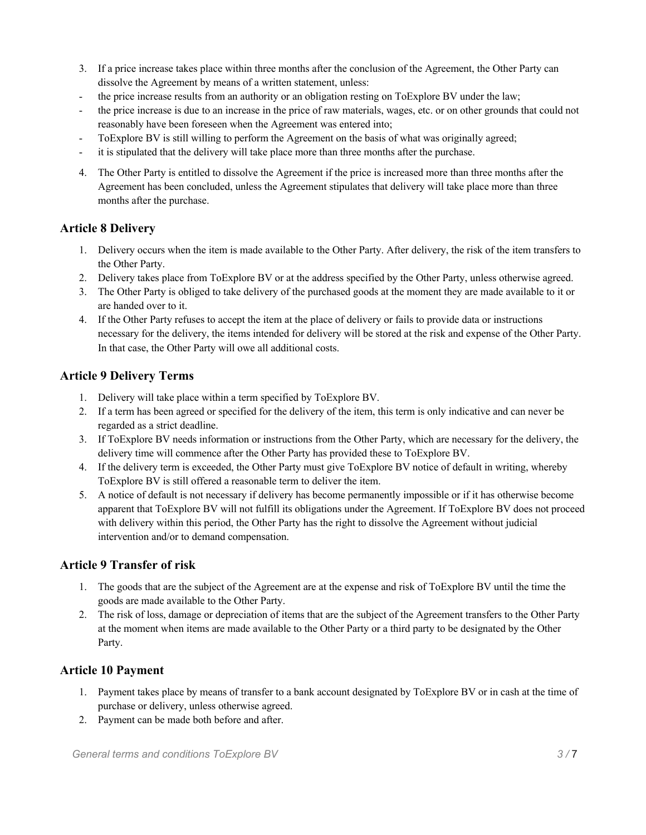- 3. If a price increase takes place within three months after the conclusion of the Agreement, the Other Party can dissolve the Agreement by means of a written statement, unless:
- the price increase results from an authority or an obligation resting on ToExplore BV under the law;
- the price increase is due to an increase in the price of raw materials, wages, etc. or on other grounds that could not reasonably have been foreseen when the Agreement was entered into;
- ToExplore BV is still willing to perform the Agreement on the basis of what was originally agreed;
- it is stipulated that the delivery will take place more than three months after the purchase.
- 4. The Other Party is entitled to dissolve the Agreement if the price is increased more than three months after the Agreement has been concluded, unless the Agreement stipulates that delivery will take place more than three months after the purchase.

#### **Article 8 Delivery**

- 1. Delivery occurs when the item is made available to the Other Party. After delivery, the risk of the item transfers to the Other Party.
- 2. Delivery takes place from ToExplore BV or at the address specified by the Other Party, unless otherwise agreed.
- 3. The Other Party is obliged to take delivery of the purchased goods at the moment they are made available to it or are handed over to it.
- 4. If the Other Party refuses to accept the item at the place of delivery or fails to provide data or instructions necessary for the delivery, the items intended for delivery will be stored at the risk and expense of the Other Party. In that case, the Other Party will owe all additional costs.

#### **Article 9 Delivery Terms**

- 1. Delivery will take place within a term specified by ToExplore BV.
- 2. If a term has been agreed or specified for the delivery of the item, this term is only indicative and can never be regarded as a strict deadline.
- 3. If ToExplore BV needs information or instructions from the Other Party, which are necessary for the delivery, the delivery time will commence after the Other Party has provided these to ToExplore BV.
- 4. If the delivery term is exceeded, the Other Party must give ToExplore BV notice of default in writing, whereby ToExplore BV is still offered a reasonable term to deliver the item.
- 5. A notice of default is not necessary if delivery has become permanently impossible or if it has otherwise become apparent that ToExplore BV will not fulfill its obligations under the Agreement. If ToExplore BV does not proceed with delivery within this period, the Other Party has the right to dissolve the Agreement without judicial intervention and/or to demand compensation.

## **Article 9 Transfer of risk**

- 1. The goods that are the subject of the Agreement are at the expense and risk of ToExplore BV until the time the goods are made available to the Other Party.
- 2. The risk of loss, damage or depreciation of items that are the subject of the Agreement transfers to the Other Party at the moment when items are made available to the Other Party or a third party to be designated by the Other Party.

## **Article 10 Payment**

- 1. Payment takes place by means of transfer to a bank account designated by ToExplore BV or in cash at the time of purchase or delivery, unless otherwise agreed.
- 2. Payment can be made both before and after.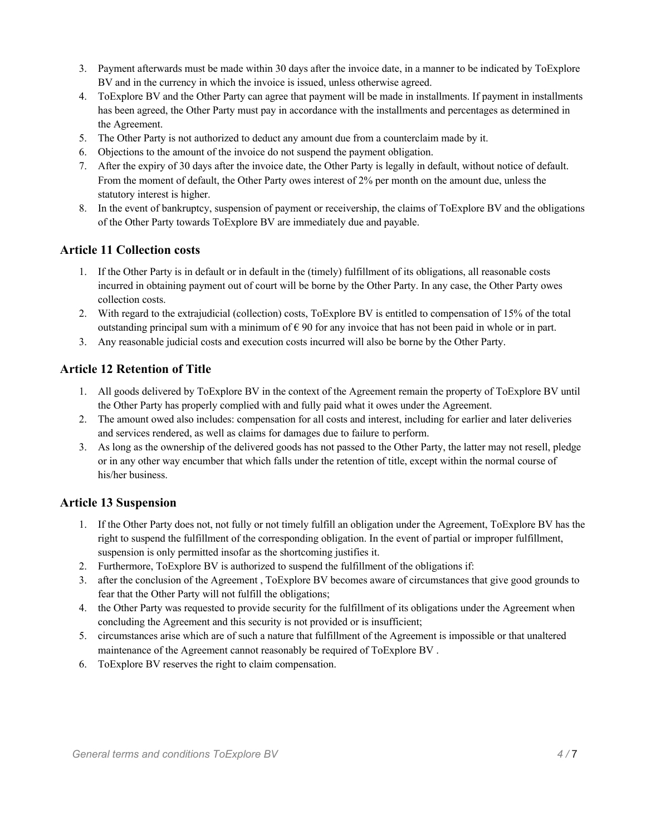- 3. Payment afterwards must be made within 30 days after the invoice date, in a manner to be indicated by ToExplore BV and in the currency in which the invoice is issued, unless otherwise agreed.
- 4. ToExplore BV and the Other Party can agree that payment will be made in installments. If payment in installments has been agreed, the Other Party must pay in accordance with the installments and percentages as determined in the Agreement.
- 5. The Other Party is not authorized to deduct any amount due from a counterclaim made by it.
- 6. Objections to the amount of the invoice do not suspend the payment obligation.
- 7. After the expiry of 30 days after the invoice date, the Other Party is legally in default, without notice of default. From the moment of default, the Other Party owes interest of 2% per month on the amount due, unless the statutory interest is higher.
- 8. In the event of bankruptcy, suspension of payment or receivership, the claims of ToExplore BV and the obligations of the Other Party towards ToExplore BV are immediately due and payable.

#### **Article 11 Collection costs**

- 1. If the Other Party is in default or in default in the (timely) fulfillment of its obligations, all reasonable costs incurred in obtaining payment out of court will be borne by the Other Party. In any case, the Other Party owes collection costs.
- 2. With regard to the extrajudicial (collection) costs, ToExplore BV is entitled to compensation of 15% of the total outstanding principal sum with a minimum of  $\epsilon$  90 for any invoice that has not been paid in whole or in part.
- 3. Any reasonable judicial costs and execution costs incurred will also be borne by the Other Party.

#### **Article 12 Retention of Title**

- 1. All goods delivered by ToExplore BV in the context of the Agreement remain the property of ToExplore BV until the Other Party has properly complied with and fully paid what it owes under the Agreement.
- 2. The amount owed also includes: compensation for all costs and interest, including for earlier and later deliveries and services rendered, as well as claims for damages due to failure to perform.
- 3. As long as the ownership of the delivered goods has not passed to the Other Party, the latter may not resell, pledge or in any other way encumber that which falls under the retention of title, except within the normal course of his/her business.

#### **Article 13 Suspension**

- 1. If the Other Party does not, not fully or not timely fulfill an obligation under the Agreement, ToExplore BV has the right to suspend the fulfillment of the corresponding obligation. In the event of partial or improper fulfillment, suspension is only permitted insofar as the shortcoming justifies it.
- 2. Furthermore, ToExplore BV is authorized to suspend the fulfillment of the obligations if:
- 3. after the conclusion of the Agreement , ToExplore BV becomes aware of circumstances that give good grounds to fear that the Other Party will not fulfill the obligations;
- 4. the Other Party was requested to provide security for the fulfillment of its obligations under the Agreement when concluding the Agreement and this security is not provided or is insufficient;
- 5. circumstances arise which are of such a nature that fulfillment of the Agreement is impossible or that unaltered maintenance of the Agreement cannot reasonably be required of ToExplore BV .
- 6. ToExplore BV reserves the right to claim compensation.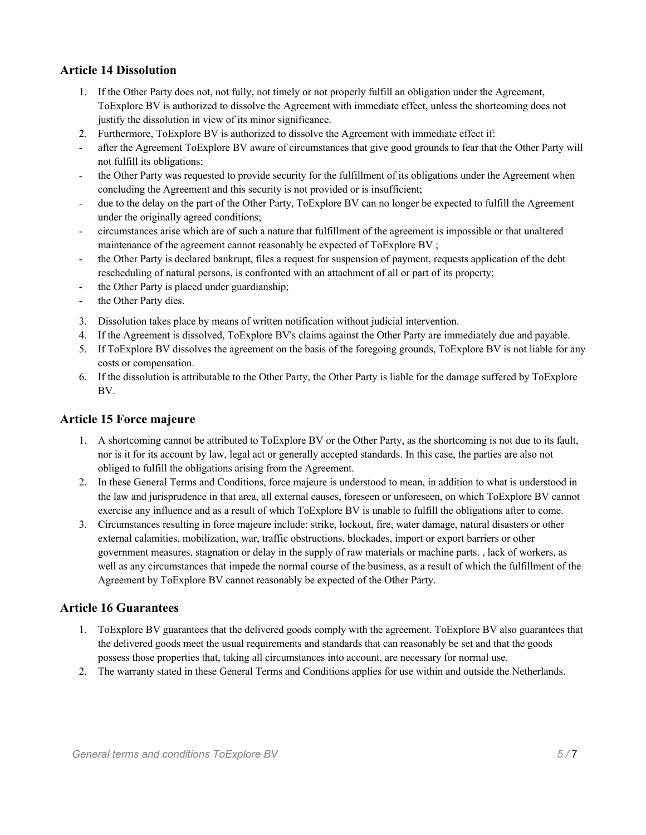# **Article 14 Dissolution**

- 1. If the Other Party does not, not fully, not timely or not properly fulfill an obligation under the Agreement, ToExplore BV is authorized to dissolve the Agreement with immediate effect, unless the shortcoming does not justify the dissolution in view of its minor significance.
- 2. Furthermore, ToExplore BV is authorized to dissolve the Agreement with immediate effect if:
- after the Agreement ToExplore BV aware of circumstances that give good grounds to fear that the Other Party will not fulfill its obligations;
- the Other Party was requested to provide security for the fulfillment of its obligations under the Agreement when concluding the Agreement and this security is not provided or is insufficient;
- due to the delay on the part of the Other Party, ToExplore BV can no longer be expected to fulfill the Agreement under the originally agreed conditions;
- circumstances arise which are of such a nature that fulfillment of the agreement is impossible or that unaltered maintenance of the agreement cannot reasonably be expected of ToExplore BV ;
- the Other Party is declared bankrupt, files a request for suspension of payment, requests application of the debt rescheduling of natural persons, is confronted with an attachment of all or part of its property;
- the Other Party is placed under guardianship;
- the Other Party dies.
- 3. Dissolution takes place by means of written notification without judicial intervention.
- 4. If the Agreement is dissolved, ToExplore BV's claims against the Other Party are immediately due and payable.
- 5. If ToExplore BV dissolves the agreement on the basis of the foregoing grounds, ToExplore BV is not liable for any costs or compensation.
- 6. If the dissolution is attributable to the Other Party, the Other Party is liable for the damage suffered by ToExplore BV.

#### **Article 15 Force majeure**

- 1. A shortcoming cannot be attributed to ToExplore BV or the Other Party, as the shortcoming is not due to its fault, nor is it for its account by law, legal act or generally accepted standards. In this case, the parties are also not obliged to fulfill the obligations arising from the Agreement.
- 2. In these General Terms and Conditions, force majeure is understood to mean, in addition to what is understood in the law and jurisprudence in that area, all external causes, foreseen or unforeseen, on which ToExplore BV cannot exercise any influence and as a result of which ToExplore BV is unable to fulfill the obligations after to come.
- 3. Circumstances resulting in force majeure include: strike, lockout, fire, water damage, natural disasters or other external calamities, mobilization, war, traffic obstructions, blockades, import or export barriers or other government measures, stagnation or delay in the supply of raw materials or machine parts. , lack of workers, as well as any circumstances that impede the normal course of the business, as a result of which the fulfillment of the Agreement by ToExplore BV cannot reasonably be expected of the Other Party.

## **Article 16 Guarantees**

- 1. ToExplore BV guarantees that the delivered goods comply with the agreement. ToExplore BV also guarantees that the delivered goods meet the usual requirements and standards that can reasonably be set and that the goods possess those properties that, taking all circumstances into account, are necessary for normal use.
- 2. The warranty stated in these General Terms and Conditions applies for use within and outside the Netherlands.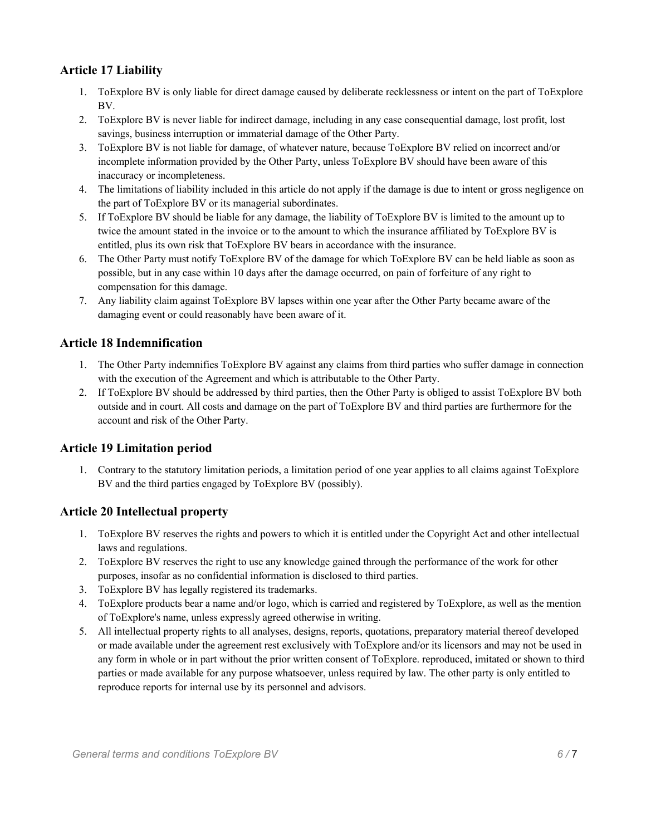# **Article 17 Liability**

- 1. ToExplore BV is only liable for direct damage caused by deliberate recklessness or intent on the part of ToExplore BV.
- 2. ToExplore BV is never liable for indirect damage, including in any case consequential damage, lost profit, lost savings, business interruption or immaterial damage of the Other Party.
- 3. ToExplore BV is not liable for damage, of whatever nature, because ToExplore BV relied on incorrect and/or incomplete information provided by the Other Party, unless ToExplore BV should have been aware of this inaccuracy or incompleteness.
- 4. The limitations of liability included in this article do not apply if the damage is due to intent or gross negligence on the part of ToExplore BV or its managerial subordinates.
- 5. If ToExplore BV should be liable for any damage, the liability of ToExplore BV is limited to the amount up to twice the amount stated in the invoice or to the amount to which the insurance affiliated by ToExplore BV is entitled, plus its own risk that ToExplore BV bears in accordance with the insurance.
- 6. The Other Party must notify ToExplore BV of the damage for which ToExplore BV can be held liable as soon as possible, but in any case within 10 days after the damage occurred, on pain of forfeiture of any right to compensation for this damage.
- 7. Any liability claim against ToExplore BV lapses within one year after the Other Party became aware of the damaging event or could reasonably have been aware of it.

## **Article 18 Indemnification**

- 1. The Other Party indemnifies ToExplore BV against any claims from third parties who suffer damage in connection with the execution of the Agreement and which is attributable to the Other Party.
- 2. If ToExplore BV should be addressed by third parties, then the Other Party is obliged to assist ToExplore BV both outside and in court. All costs and damage on the part of ToExplore BV and third parties are furthermore for the account and risk of the Other Party.

## **Article 19 Limitation period**

1. Contrary to the statutory limitation periods, a limitation period of one year applies to all claims against ToExplore BV and the third parties engaged by ToExplore BV (possibly).

## **Article 20 Intellectual property**

- 1. ToExplore BV reserves the rights and powers to which it is entitled under the Copyright Act and other intellectual laws and regulations.
- 2. ToExplore BV reserves the right to use any knowledge gained through the performance of the work for other purposes, insofar as no confidential information is disclosed to third parties.
- 3. ToExplore BV has legally registered its trademarks.
- 4. ToExplore products bear a name and/or logo, which is carried and registered by ToExplore, as well as the mention of ToExplore's name, unless expressly agreed otherwise in writing.
- 5. All intellectual property rights to all analyses, designs, reports, quotations, preparatory material thereof developed or made available under the agreement rest exclusively with ToExplore and/or its licensors and may not be used in any form in whole or in part without the prior written consent of ToExplore. reproduced, imitated or shown to third parties or made available for any purpose whatsoever, unless required by law. The other party is only entitled to reproduce reports for internal use by its personnel and advisors.